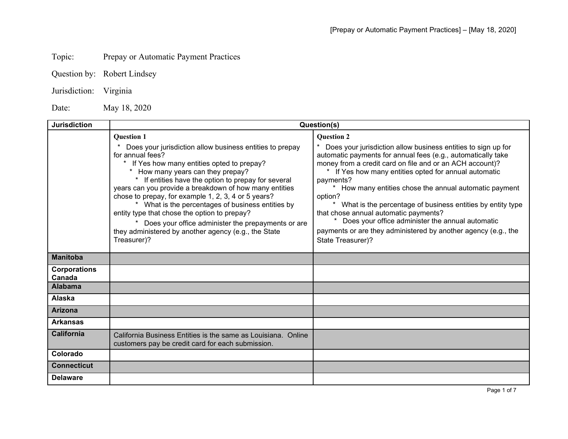## Topic: Prepay or Automatic Payment Practices

- Question by: Robert Lindsey
- Jurisdiction: Virginia

Date: May 18, 2020

| <b>Jurisdiction</b>           | Question(s)                                                                                                                                                                                                                                                                                                                                                                                                                                                                                                                                                                               |                                                                                                                                                                                                                                                                                                                                                                                                                                                                                                                                                                                                             |
|-------------------------------|-------------------------------------------------------------------------------------------------------------------------------------------------------------------------------------------------------------------------------------------------------------------------------------------------------------------------------------------------------------------------------------------------------------------------------------------------------------------------------------------------------------------------------------------------------------------------------------------|-------------------------------------------------------------------------------------------------------------------------------------------------------------------------------------------------------------------------------------------------------------------------------------------------------------------------------------------------------------------------------------------------------------------------------------------------------------------------------------------------------------------------------------------------------------------------------------------------------------|
|                               | <b>Question 1</b><br>Does your jurisdiction allow business entities to prepay<br>for annual fees?<br>If Yes how many entities opted to prepay?<br>How many years can they prepay?<br>If entities have the option to prepay for several<br>years can you provide a breakdown of how many entities<br>chose to prepay, for example 1, 2, 3, 4 or 5 years?<br>* What is the percentages of business entities by<br>entity type that chose the option to prepay?<br>Does your office administer the prepayments or are<br>they administered by another agency (e.g., the State<br>Treasurer)? | <b>Ouestion 2</b><br>Does your jurisdiction allow business entities to sign up for<br>automatic payments for annual fees (e.g., automatically take<br>money from a credit card on file and or an ACH account)?<br>* If Yes how many entities opted for annual automatic<br>payments?<br>How many entities chose the annual automatic payment<br>option?<br>* What is the percentage of business entities by entity type<br>that chose annual automatic payments?<br>Does your office administer the annual automatic<br>payments or are they administered by another agency (e.g., the<br>State Treasurer)? |
| <b>Manitoba</b>               |                                                                                                                                                                                                                                                                                                                                                                                                                                                                                                                                                                                           |                                                                                                                                                                                                                                                                                                                                                                                                                                                                                                                                                                                                             |
| <b>Corporations</b><br>Canada |                                                                                                                                                                                                                                                                                                                                                                                                                                                                                                                                                                                           |                                                                                                                                                                                                                                                                                                                                                                                                                                                                                                                                                                                                             |
| <b>Alabama</b>                |                                                                                                                                                                                                                                                                                                                                                                                                                                                                                                                                                                                           |                                                                                                                                                                                                                                                                                                                                                                                                                                                                                                                                                                                                             |
| Alaska                        |                                                                                                                                                                                                                                                                                                                                                                                                                                                                                                                                                                                           |                                                                                                                                                                                                                                                                                                                                                                                                                                                                                                                                                                                                             |
| <b>Arizona</b>                |                                                                                                                                                                                                                                                                                                                                                                                                                                                                                                                                                                                           |                                                                                                                                                                                                                                                                                                                                                                                                                                                                                                                                                                                                             |
| <b>Arkansas</b>               |                                                                                                                                                                                                                                                                                                                                                                                                                                                                                                                                                                                           |                                                                                                                                                                                                                                                                                                                                                                                                                                                                                                                                                                                                             |
| <b>California</b>             | California Business Entities is the same as Louisiana. Online<br>customers pay be credit card for each submission.                                                                                                                                                                                                                                                                                                                                                                                                                                                                        |                                                                                                                                                                                                                                                                                                                                                                                                                                                                                                                                                                                                             |
| Colorado                      |                                                                                                                                                                                                                                                                                                                                                                                                                                                                                                                                                                                           |                                                                                                                                                                                                                                                                                                                                                                                                                                                                                                                                                                                                             |
| <b>Connecticut</b>            |                                                                                                                                                                                                                                                                                                                                                                                                                                                                                                                                                                                           |                                                                                                                                                                                                                                                                                                                                                                                                                                                                                                                                                                                                             |
| <b>Delaware</b>               |                                                                                                                                                                                                                                                                                                                                                                                                                                                                                                                                                                                           |                                                                                                                                                                                                                                                                                                                                                                                                                                                                                                                                                                                                             |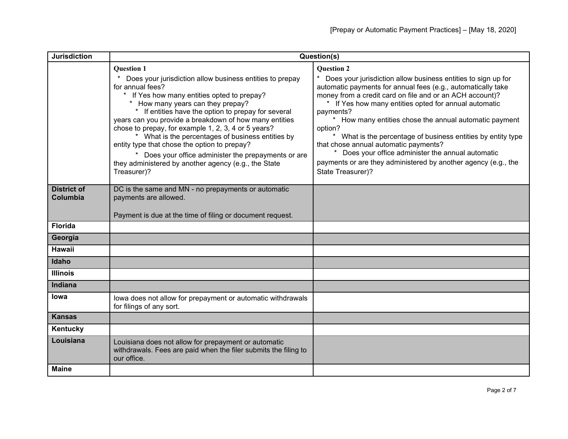| <b>Jurisdiction</b>            | Question(s)                                                                                                                                                                                                                                                                                                                                                                                                                                                                                                                                                                                     |                                                                                                                                                                                                                                                                                                                                                                                                                                                                                                                                                                                                                 |
|--------------------------------|-------------------------------------------------------------------------------------------------------------------------------------------------------------------------------------------------------------------------------------------------------------------------------------------------------------------------------------------------------------------------------------------------------------------------------------------------------------------------------------------------------------------------------------------------------------------------------------------------|-----------------------------------------------------------------------------------------------------------------------------------------------------------------------------------------------------------------------------------------------------------------------------------------------------------------------------------------------------------------------------------------------------------------------------------------------------------------------------------------------------------------------------------------------------------------------------------------------------------------|
|                                | <b>Question 1</b><br>Does your jurisdiction allow business entities to prepay<br>for annual fees?<br>* If Yes how many entities opted to prepay?<br>* How many years can they prepay?<br>* If entities have the option to prepay for several<br>years can you provide a breakdown of how many entities<br>chose to prepay, for example 1, 2, 3, 4 or 5 years?<br>* What is the percentages of business entities by<br>entity type that chose the option to prepay?<br>Does your office administer the prepayments or are<br>they administered by another agency (e.g., the State<br>Treasurer)? | <b>Question 2</b><br>Does your jurisdiction allow business entities to sign up for<br>automatic payments for annual fees (e.g., automatically take<br>money from a credit card on file and or an ACH account)?<br>* If Yes how many entities opted for annual automatic<br>payments?<br>* How many entities chose the annual automatic payment<br>option?<br>* What is the percentage of business entities by entity type<br>that chose annual automatic payments?<br>* Does your office administer the annual automatic<br>payments or are they administered by another agency (e.g., the<br>State Treasurer)? |
| <b>District of</b><br>Columbia | DC is the same and MN - no prepayments or automatic<br>payments are allowed.<br>Payment is due at the time of filing or document request.                                                                                                                                                                                                                                                                                                                                                                                                                                                       |                                                                                                                                                                                                                                                                                                                                                                                                                                                                                                                                                                                                                 |
| <b>Florida</b>                 |                                                                                                                                                                                                                                                                                                                                                                                                                                                                                                                                                                                                 |                                                                                                                                                                                                                                                                                                                                                                                                                                                                                                                                                                                                                 |
| Georgia                        |                                                                                                                                                                                                                                                                                                                                                                                                                                                                                                                                                                                                 |                                                                                                                                                                                                                                                                                                                                                                                                                                                                                                                                                                                                                 |
| <b>Hawaii</b>                  |                                                                                                                                                                                                                                                                                                                                                                                                                                                                                                                                                                                                 |                                                                                                                                                                                                                                                                                                                                                                                                                                                                                                                                                                                                                 |
| Idaho                          |                                                                                                                                                                                                                                                                                                                                                                                                                                                                                                                                                                                                 |                                                                                                                                                                                                                                                                                                                                                                                                                                                                                                                                                                                                                 |
| <b>Illinois</b>                |                                                                                                                                                                                                                                                                                                                                                                                                                                                                                                                                                                                                 |                                                                                                                                                                                                                                                                                                                                                                                                                                                                                                                                                                                                                 |
| Indiana                        |                                                                                                                                                                                                                                                                                                                                                                                                                                                                                                                                                                                                 |                                                                                                                                                                                                                                                                                                                                                                                                                                                                                                                                                                                                                 |
| Iowa                           | lowa does not allow for prepayment or automatic withdrawals<br>for filings of any sort.                                                                                                                                                                                                                                                                                                                                                                                                                                                                                                         |                                                                                                                                                                                                                                                                                                                                                                                                                                                                                                                                                                                                                 |
| <b>Kansas</b>                  |                                                                                                                                                                                                                                                                                                                                                                                                                                                                                                                                                                                                 |                                                                                                                                                                                                                                                                                                                                                                                                                                                                                                                                                                                                                 |
| Kentucky                       |                                                                                                                                                                                                                                                                                                                                                                                                                                                                                                                                                                                                 |                                                                                                                                                                                                                                                                                                                                                                                                                                                                                                                                                                                                                 |
| Louisiana                      | Louisiana does not allow for prepayment or automatic<br>withdrawals. Fees are paid when the filer submits the filing to<br>our office.                                                                                                                                                                                                                                                                                                                                                                                                                                                          |                                                                                                                                                                                                                                                                                                                                                                                                                                                                                                                                                                                                                 |
| <b>Maine</b>                   |                                                                                                                                                                                                                                                                                                                                                                                                                                                                                                                                                                                                 |                                                                                                                                                                                                                                                                                                                                                                                                                                                                                                                                                                                                                 |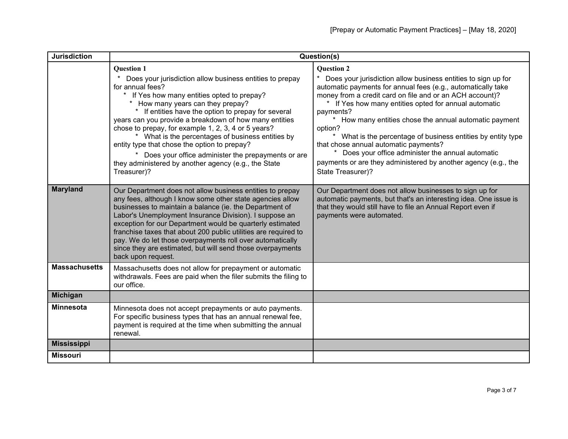| <b>Jurisdiction</b>  | Question(s)                                                                                                                                                                                                                                                                                                                                                                                                                                                                                                                                                                                 |                                                                                                                                                                                                                                                                                                                                                                                                                                                                                                                                                                                                                      |
|----------------------|---------------------------------------------------------------------------------------------------------------------------------------------------------------------------------------------------------------------------------------------------------------------------------------------------------------------------------------------------------------------------------------------------------------------------------------------------------------------------------------------------------------------------------------------------------------------------------------------|----------------------------------------------------------------------------------------------------------------------------------------------------------------------------------------------------------------------------------------------------------------------------------------------------------------------------------------------------------------------------------------------------------------------------------------------------------------------------------------------------------------------------------------------------------------------------------------------------------------------|
|                      | <b>Question 1</b><br>Does your jurisdiction allow business entities to prepay<br>for annual fees?<br>If Yes how many entities opted to prepay?<br>How many years can they prepay?<br>If entities have the option to prepay for several<br>years can you provide a breakdown of how many entities<br>chose to prepay, for example 1, 2, 3, 4 or 5 years?<br>* What is the percentages of business entities by<br>entity type that chose the option to prepay?<br>* Does your office administer the prepayments or are<br>they administered by another agency (e.g., the State<br>Treasurer)? | <b>Question 2</b><br>Does your jurisdiction allow business entities to sign up for<br>automatic payments for annual fees (e.g., automatically take<br>money from a credit card on file and or an ACH account)?<br>$\star$<br>If Yes how many entities opted for annual automatic<br>payments?<br>How many entities chose the annual automatic payment<br>option?<br>* What is the percentage of business entities by entity type<br>that chose annual automatic payments?<br>Does your office administer the annual automatic<br>payments or are they administered by another agency (e.g., the<br>State Treasurer)? |
| <b>Maryland</b>      | Our Department does not allow business entities to prepay<br>any fees, although I know some other state agencies allow<br>businesses to maintain a balance (ie. the Department of<br>Labor's Unemployment Insurance Division). I suppose an<br>exception for our Department would be quarterly estimated<br>franchise taxes that about 200 public utilities are required to<br>pay. We do let those overpayments roll over automatically<br>since they are estimated, but will send those overpayments<br>back upon request.                                                                | Our Department does not allow businesses to sign up for<br>automatic payments, but that's an interesting idea. One issue is<br>that they would still have to file an Annual Report even if<br>payments were automated.                                                                                                                                                                                                                                                                                                                                                                                               |
| <b>Massachusetts</b> | Massachusetts does not allow for prepayment or automatic<br>withdrawals. Fees are paid when the filer submits the filing to<br>our office.                                                                                                                                                                                                                                                                                                                                                                                                                                                  |                                                                                                                                                                                                                                                                                                                                                                                                                                                                                                                                                                                                                      |
| <b>Michigan</b>      |                                                                                                                                                                                                                                                                                                                                                                                                                                                                                                                                                                                             |                                                                                                                                                                                                                                                                                                                                                                                                                                                                                                                                                                                                                      |
| <b>Minnesota</b>     | Minnesota does not accept prepayments or auto payments.<br>For specific business types that has an annual renewal fee,<br>payment is required at the time when submitting the annual<br>renewal.                                                                                                                                                                                                                                                                                                                                                                                            |                                                                                                                                                                                                                                                                                                                                                                                                                                                                                                                                                                                                                      |
| <b>Mississippi</b>   |                                                                                                                                                                                                                                                                                                                                                                                                                                                                                                                                                                                             |                                                                                                                                                                                                                                                                                                                                                                                                                                                                                                                                                                                                                      |
| <b>Missouri</b>      |                                                                                                                                                                                                                                                                                                                                                                                                                                                                                                                                                                                             |                                                                                                                                                                                                                                                                                                                                                                                                                                                                                                                                                                                                                      |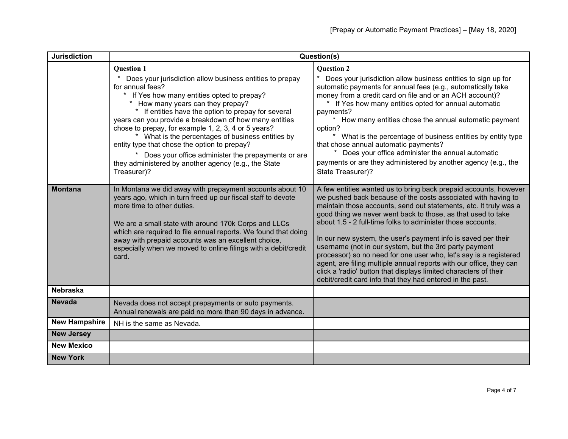| <b>Jurisdiction</b>  | Question(s)                                                                                                                                                                                                                                                                                                                                                                                                                                                                                                                                                                                 |                                                                                                                                                                                                                                                                                                                                                                                                                                                                                                                                                                                                                                                                                                                                               |
|----------------------|---------------------------------------------------------------------------------------------------------------------------------------------------------------------------------------------------------------------------------------------------------------------------------------------------------------------------------------------------------------------------------------------------------------------------------------------------------------------------------------------------------------------------------------------------------------------------------------------|-----------------------------------------------------------------------------------------------------------------------------------------------------------------------------------------------------------------------------------------------------------------------------------------------------------------------------------------------------------------------------------------------------------------------------------------------------------------------------------------------------------------------------------------------------------------------------------------------------------------------------------------------------------------------------------------------------------------------------------------------|
|                      | <b>Question 1</b><br>Does your jurisdiction allow business entities to prepay<br>for annual fees?<br>If Yes how many entities opted to prepay?<br>How many years can they prepay?<br>* If entities have the option to prepay for several<br>years can you provide a breakdown of how many entities<br>chose to prepay, for example 1, 2, 3, 4 or 5 years?<br>* What is the percentages of business entities by<br>entity type that chose the option to prepay?<br>Does your office administer the prepayments or are<br>they administered by another agency (e.g., the State<br>Treasurer)? | <b>Question 2</b><br>Does your jurisdiction allow business entities to sign up for<br>automatic payments for annual fees (e.g., automatically take<br>money from a credit card on file and or an ACH account)?<br>If Yes how many entities opted for annual automatic<br>payments?<br>How many entities chose the annual automatic payment<br>option?<br>* What is the percentage of business entities by entity type<br>that chose annual automatic payments?<br>Does your office administer the annual automatic<br>payments or are they administered by another agency (e.g., the<br>State Treasurer)?                                                                                                                                     |
| <b>Montana</b>       | In Montana we did away with prepayment accounts about 10<br>years ago, which in turn freed up our fiscal staff to devote<br>more time to other duties.<br>We are a small state with around 170k Corps and LLCs<br>which are required to file annual reports. We found that doing<br>away with prepaid accounts was an excellent choice,<br>especially when we moved to online filings with a debit/credit<br>card.                                                                                                                                                                          | A few entities wanted us to bring back prepaid accounts, however<br>we pushed back because of the costs associated with having to<br>maintain those accounts, send out statements, etc. It truly was a<br>good thing we never went back to those, as that used to take<br>about 1.5 - 2 full-time folks to administer those accounts.<br>In our new system, the user's payment info is saved per their<br>username (not in our system, but the 3rd party payment<br>processor) so no need for one user who, let's say is a registered<br>agent, are filing multiple annual reports with our office, they can<br>click a 'radio' button that displays limited characters of their<br>debit/credit card info that they had entered in the past. |
| <b>Nebraska</b>      |                                                                                                                                                                                                                                                                                                                                                                                                                                                                                                                                                                                             |                                                                                                                                                                                                                                                                                                                                                                                                                                                                                                                                                                                                                                                                                                                                               |
| <b>Nevada</b>        | Nevada does not accept prepayments or auto payments.<br>Annual renewals are paid no more than 90 days in advance.                                                                                                                                                                                                                                                                                                                                                                                                                                                                           |                                                                                                                                                                                                                                                                                                                                                                                                                                                                                                                                                                                                                                                                                                                                               |
| <b>New Hampshire</b> | NH is the same as Nevada.                                                                                                                                                                                                                                                                                                                                                                                                                                                                                                                                                                   |                                                                                                                                                                                                                                                                                                                                                                                                                                                                                                                                                                                                                                                                                                                                               |
| <b>New Jersey</b>    |                                                                                                                                                                                                                                                                                                                                                                                                                                                                                                                                                                                             |                                                                                                                                                                                                                                                                                                                                                                                                                                                                                                                                                                                                                                                                                                                                               |
| <b>New Mexico</b>    |                                                                                                                                                                                                                                                                                                                                                                                                                                                                                                                                                                                             |                                                                                                                                                                                                                                                                                                                                                                                                                                                                                                                                                                                                                                                                                                                                               |
| <b>New York</b>      |                                                                                                                                                                                                                                                                                                                                                                                                                                                                                                                                                                                             |                                                                                                                                                                                                                                                                                                                                                                                                                                                                                                                                                                                                                                                                                                                                               |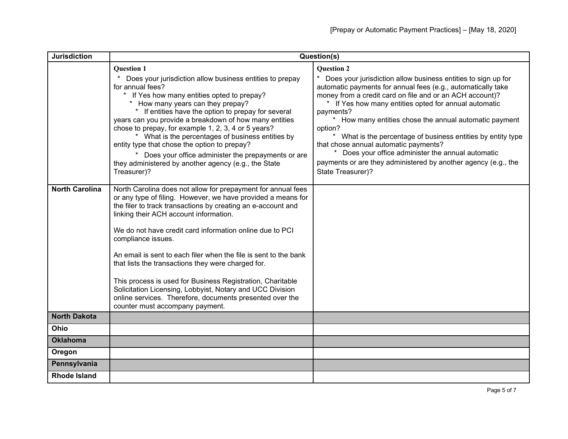| <b>Jurisdiction</b>   | Question(s)                                                                                                                                                                                                                                                                                                                                                                                                                                                                                                                                                                                                                                                                  |                                                                                                                                                                                                                                                                                                                                                                                                                                                                                                                                                                                                               |
|-----------------------|------------------------------------------------------------------------------------------------------------------------------------------------------------------------------------------------------------------------------------------------------------------------------------------------------------------------------------------------------------------------------------------------------------------------------------------------------------------------------------------------------------------------------------------------------------------------------------------------------------------------------------------------------------------------------|---------------------------------------------------------------------------------------------------------------------------------------------------------------------------------------------------------------------------------------------------------------------------------------------------------------------------------------------------------------------------------------------------------------------------------------------------------------------------------------------------------------------------------------------------------------------------------------------------------------|
|                       | <b>Question 1</b><br>Does your jurisdiction allow business entities to prepay<br>for annual fees?<br>If Yes how many entities opted to prepay?<br>How many years can they prepay?<br>$\star$<br>* If entities have the option to prepay for several<br>years can you provide a breakdown of how many entities<br>chose to prepay, for example 1, 2, 3, 4 or 5 years?<br>* What is the percentages of business entities by<br>entity type that chose the option to prepay?<br>* Does your office administer the prepayments or are<br>they administered by another agency (e.g., the State<br>Treasurer)?                                                                     | <b>Question 2</b><br>Does your jurisdiction allow business entities to sign up for<br>automatic payments for annual fees (e.g., automatically take<br>money from a credit card on file and or an ACH account)?<br>If Yes how many entities opted for annual automatic<br>payments?<br>* How many entities chose the annual automatic payment<br>option?<br>* What is the percentage of business entities by entity type<br>that chose annual automatic payments?<br>* Does your office administer the annual automatic<br>payments or are they administered by another agency (e.g., the<br>State Treasurer)? |
| <b>North Carolina</b> | North Carolina does not allow for prepayment for annual fees<br>or any type of filing. However, we have provided a means for<br>the filer to track transactions by creating an e-account and<br>linking their ACH account information.<br>We do not have credit card information online due to PCI<br>compliance issues.<br>An email is sent to each filer when the file is sent to the bank<br>that lists the transactions they were charged for.<br>This process is used for Business Registration, Charitable<br>Solicitation Licensing, Lobbyist, Notary and UCC Division<br>online services. Therefore, documents presented over the<br>counter must accompany payment. |                                                                                                                                                                                                                                                                                                                                                                                                                                                                                                                                                                                                               |
| <b>North Dakota</b>   |                                                                                                                                                                                                                                                                                                                                                                                                                                                                                                                                                                                                                                                                              |                                                                                                                                                                                                                                                                                                                                                                                                                                                                                                                                                                                                               |
| Ohio                  |                                                                                                                                                                                                                                                                                                                                                                                                                                                                                                                                                                                                                                                                              |                                                                                                                                                                                                                                                                                                                                                                                                                                                                                                                                                                                                               |
| <b>Oklahoma</b>       |                                                                                                                                                                                                                                                                                                                                                                                                                                                                                                                                                                                                                                                                              |                                                                                                                                                                                                                                                                                                                                                                                                                                                                                                                                                                                                               |
| Oregon                |                                                                                                                                                                                                                                                                                                                                                                                                                                                                                                                                                                                                                                                                              |                                                                                                                                                                                                                                                                                                                                                                                                                                                                                                                                                                                                               |
| Pennsylvania          |                                                                                                                                                                                                                                                                                                                                                                                                                                                                                                                                                                                                                                                                              |                                                                                                                                                                                                                                                                                                                                                                                                                                                                                                                                                                                                               |
| <b>Rhode Island</b>   |                                                                                                                                                                                                                                                                                                                                                                                                                                                                                                                                                                                                                                                                              |                                                                                                                                                                                                                                                                                                                                                                                                                                                                                                                                                                                                               |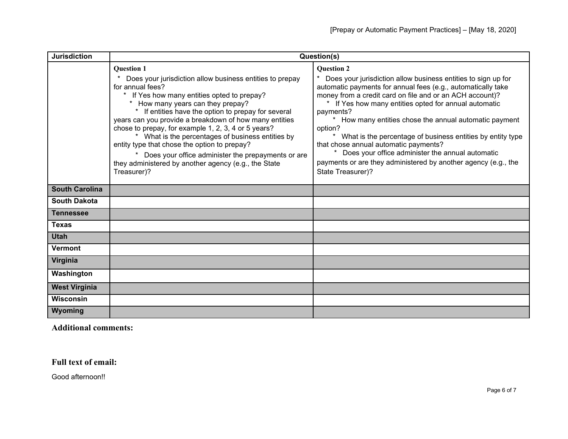| <b>Jurisdiction</b>   | Question(s)                                                                                                                                                                                                                                                                                                                                                                                                                                                                                                                                                                               |                                                                                                                                                                                                                                                                                                                                                                                                                                                                                                                                                                                                             |
|-----------------------|-------------------------------------------------------------------------------------------------------------------------------------------------------------------------------------------------------------------------------------------------------------------------------------------------------------------------------------------------------------------------------------------------------------------------------------------------------------------------------------------------------------------------------------------------------------------------------------------|-------------------------------------------------------------------------------------------------------------------------------------------------------------------------------------------------------------------------------------------------------------------------------------------------------------------------------------------------------------------------------------------------------------------------------------------------------------------------------------------------------------------------------------------------------------------------------------------------------------|
|                       | <b>Question 1</b><br>Does your jurisdiction allow business entities to prepay<br>for annual fees?<br>If Yes how many entities opted to prepay?<br>How many years can they prepay?<br>If entities have the option to prepay for several<br>years can you provide a breakdown of how many entities<br>chose to prepay, for example 1, 2, 3, 4 or 5 years?<br>* What is the percentages of business entities by<br>entity type that chose the option to prepay?<br>Does your office administer the prepayments or are<br>they administered by another agency (e.g., the State<br>Treasurer)? | <b>Question 2</b><br>* Does your jurisdiction allow business entities to sign up for<br>automatic payments for annual fees (e.g., automatically take<br>money from a credit card on file and or an ACH account)?<br>If Yes how many entities opted for annual automatic<br>payments?<br>How many entities chose the annual automatic payment<br>option?<br>* What is the percentage of business entities by entity type<br>that chose annual automatic payments?<br>Does your office administer the annual automatic<br>payments or are they administered by another agency (e.g., the<br>State Treasurer)? |
| <b>South Carolina</b> |                                                                                                                                                                                                                                                                                                                                                                                                                                                                                                                                                                                           |                                                                                                                                                                                                                                                                                                                                                                                                                                                                                                                                                                                                             |
| <b>South Dakota</b>   |                                                                                                                                                                                                                                                                                                                                                                                                                                                                                                                                                                                           |                                                                                                                                                                                                                                                                                                                                                                                                                                                                                                                                                                                                             |
| <b>Tennessee</b>      |                                                                                                                                                                                                                                                                                                                                                                                                                                                                                                                                                                                           |                                                                                                                                                                                                                                                                                                                                                                                                                                                                                                                                                                                                             |
| <b>Texas</b>          |                                                                                                                                                                                                                                                                                                                                                                                                                                                                                                                                                                                           |                                                                                                                                                                                                                                                                                                                                                                                                                                                                                                                                                                                                             |
| <b>Utah</b>           |                                                                                                                                                                                                                                                                                                                                                                                                                                                                                                                                                                                           |                                                                                                                                                                                                                                                                                                                                                                                                                                                                                                                                                                                                             |
| <b>Vermont</b>        |                                                                                                                                                                                                                                                                                                                                                                                                                                                                                                                                                                                           |                                                                                                                                                                                                                                                                                                                                                                                                                                                                                                                                                                                                             |
| Virginia              |                                                                                                                                                                                                                                                                                                                                                                                                                                                                                                                                                                                           |                                                                                                                                                                                                                                                                                                                                                                                                                                                                                                                                                                                                             |
| Washington            |                                                                                                                                                                                                                                                                                                                                                                                                                                                                                                                                                                                           |                                                                                                                                                                                                                                                                                                                                                                                                                                                                                                                                                                                                             |
| <b>West Virginia</b>  |                                                                                                                                                                                                                                                                                                                                                                                                                                                                                                                                                                                           |                                                                                                                                                                                                                                                                                                                                                                                                                                                                                                                                                                                                             |
| <b>Wisconsin</b>      |                                                                                                                                                                                                                                                                                                                                                                                                                                                                                                                                                                                           |                                                                                                                                                                                                                                                                                                                                                                                                                                                                                                                                                                                                             |
| Wyoming               |                                                                                                                                                                                                                                                                                                                                                                                                                                                                                                                                                                                           |                                                                                                                                                                                                                                                                                                                                                                                                                                                                                                                                                                                                             |

**Additional comments:**

**Full text of email:**

Good afternoon!!